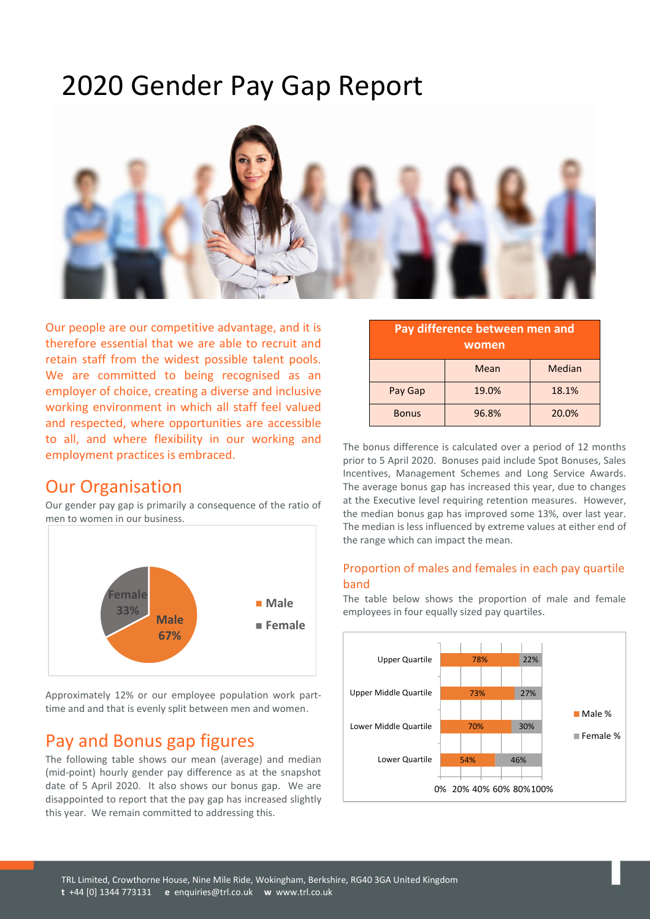# 2020 Gender Pay Gap Report



Our people are our competitive advantage, and it is therefore essential that we are able to recruit and retain staff from the widest possible talent pools. We are committed to being recognised as an employer of choice, creating a diverse and inclusive working environment in which all staff feel valued and respected, where opportunities are accessible to all, and where flexibility in our working and employment practices is embraced.

## Our Organisation

Our gender pay gap is primarily a consequence of the ratio of men to women in our business.



Approximately 12% or our employee population work parttime and and that is evenly split between men and women.

## Pay and Bonus gap figures

The following table shows our mean (average) and median (mid-point) hourly gender pay difference as at the snapshot date of 5 April 2020. It also shows our bonus gap. We are disappointed to report that the pay gap has increased slightly this year. We remain committed to addressing this.

| Pay difference between men and<br>women |       |        |
|-----------------------------------------|-------|--------|
|                                         | Mean  | Median |
| Pay Gap                                 | 19.0% | 18.1%  |
| <b>Bonus</b>                            | 96.8% | 20.0%  |

The bonus difference is calculated over a period of 12 months prior to 5 April 2020. Bonuses paid include Spot Bonuses, Sales Incentives, Management Schemes and Long Service Awards. The average bonus gap has increased this year, due to changes at the Executive level requiring retention measures. However, the median bonus gap has improved some 13%, over last year. The median is less influenced by extreme values at either end of the range which can impact the mean.

#### Proportion of males and females in each pay quartile band

The table below shows the proportion of male and female employees in four equally sized pay quartiles.